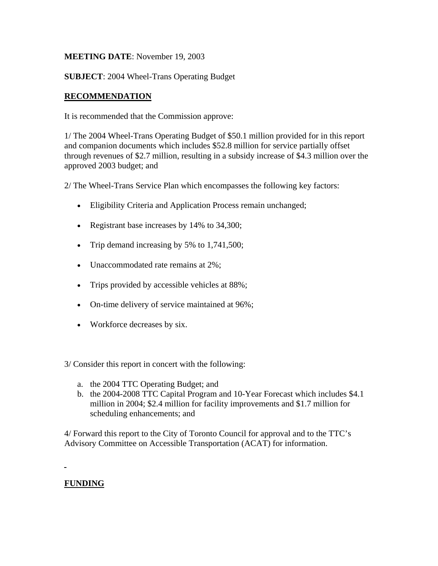## **MEETING DATE**: November 19, 2003

**SUBJECT**: 2004 Wheel-Trans Operating Budget

# **RECOMMENDATION**

It is recommended that the Commission approve:

1/ The 2004 Wheel-Trans Operating Budget of \$50.1 million provided for in this report and companion documents which includes \$52.8 million for service partially offset through revenues of \$2.7 million, resulting in a subsidy increase of \$4.3 million over the approved 2003 budget; and

2/ The Wheel-Trans Service Plan which encompasses the following key factors:

- Eligibility Criteria and Application Process remain unchanged;
- Registrant base increases by 14% to 34,300;
- Trip demand increasing by 5% to 1,741,500;
- Unaccommodated rate remains at 2%;
- Trips provided by accessible vehicles at 88%;
- On-time delivery of service maintained at 96%;
- Workforce decreases by six.
- 3/ Consider this report in concert with the following:
	- a. the 2004 TTC Operating Budget; and
	- b. the 2004-2008 TTC Capital Program and 10-Year Forecast which includes \$4.1 million in 2004; \$2.4 million for facility improvements and \$1.7 million for scheduling enhancements; and

4/ Forward this report to the City of Toronto Council for approval and to the TTC's Advisory Committee on Accessible Transportation (ACAT) for information.

# **FUNDING**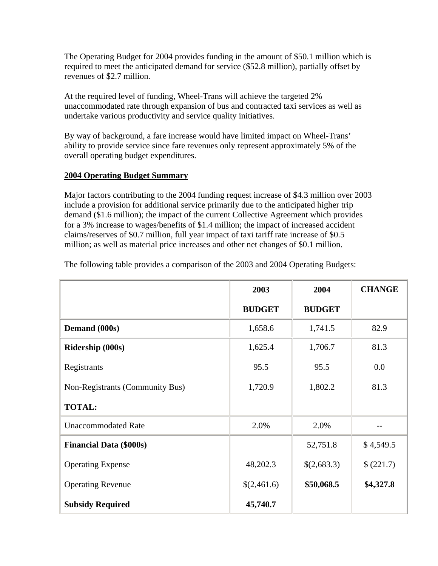The Operating Budget for 2004 provides funding in the amount of \$50.1 million which is required to meet the anticipated demand for service (\$52.8 million), partially offset by revenues of \$2.7 million.

At the required level of funding, Wheel-Trans will achieve the targeted 2% unaccommodated rate through expansion of bus and contracted taxi services as well as undertake various productivity and service quality initiatives.

By way of background, a fare increase would have limited impact on Wheel-Trans' ability to provide service since fare revenues only represent approximately 5% of the overall operating budget expenditures.

## **2004 Operating Budget Summary**

Major factors contributing to the 2004 funding request increase of \$4.3 million over 2003 include a provision for additional service primarily due to the anticipated higher trip demand (\$1.6 million); the impact of the current Collective Agreement which provides for a 3% increase to wages/benefits of \$1.4 million; the impact of increased accident claims/reserves of \$0.7 million, full year impact of taxi tariff rate increase of \$0.5 million; as well as material price increases and other net changes of \$0.1 million.

|                                 | 2003          | 2004          | <b>CHANGE</b> |
|---------------------------------|---------------|---------------|---------------|
|                                 | <b>BUDGET</b> | <b>BUDGET</b> |               |
| Demand (000s)                   | 1,658.6       | 1,741.5       | 82.9          |
| <b>Ridership (000s)</b>         | 1,625.4       | 1,706.7       | 81.3          |
| Registrants                     | 95.5          | 95.5          | 0.0           |
| Non-Registrants (Community Bus) | 1,720.9       | 1,802.2       | 81.3          |
| <b>TOTAL:</b>                   |               |               |               |
| <b>Unaccommodated Rate</b>      | 2.0%          | 2.0%          |               |
| <b>Financial Data (\$000s)</b>  |               | 52,751.8      | \$4,549.5     |
| <b>Operating Expense</b>        | 48,202.3      | \$(2,683.3)   | \$(221.7)     |
| <b>Operating Revenue</b>        | \$(2,461.6)   | \$50,068.5    | \$4,327.8     |
| <b>Subsidy Required</b>         | 45,740.7      |               |               |

The following table provides a comparison of the 2003 and 2004 Operating Budgets: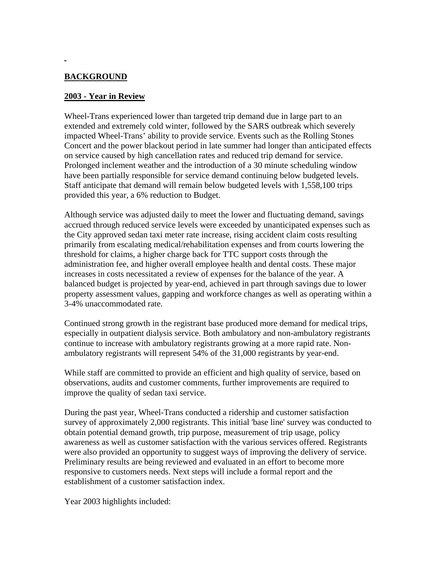# **BACKGROUND**

#### **2003 - Year in Review**

Wheel-Trans experienced lower than targeted trip demand due in large part to an extended and extremely cold winter, followed by the SARS outbreak which severely impacted Wheel-Trans' ability to provide service. Events such as the Rolling Stones Concert and the power blackout period in late summer had longer than anticipated effects on service caused by high cancellation rates and reduced trip demand for service. Prolonged inclement weather and the introduction of a 30 minute scheduling window have been partially responsible for service demand continuing below budgeted levels. Staff anticipate that demand will remain below budgeted levels with 1,558,100 trips provided this year, a 6% reduction to Budget.

Although service was adjusted daily to meet the lower and fluctuating demand, savings accrued through reduced service levels were exceeded by unanticipated expenses such as the City approved sedan taxi meter rate increase, rising accident claim costs resulting primarily from escalating medical/rehabilitation expenses and from courts lowering the threshold for claims, a higher charge back for TTC support costs through the administration fee, and higher overall employee health and dental costs. These major increases in costs necessitated a review of expenses for the balance of the year. A balanced budget is projected by year-end, achieved in part through savings due to lower property assessment values, gapping and workforce changes as well as operating within a 3-4% unaccommodated rate.

Continued strong growth in the registrant base produced more demand for medical trips, especially in outpatient dialysis service. Both ambulatory and non-ambulatory registrants continue to increase with ambulatory registrants growing at a more rapid rate. Nonambulatory registrants will represent 54% of the 31,000 registrants by year-end.

While staff are committed to provide an efficient and high quality of service, based on observations, audits and customer comments, further improvements are required to improve the quality of sedan taxi service.

During the past year, Wheel-Trans conducted a ridership and customer satisfaction survey of approximately 2,000 registrants. This initial 'base line' survey was conducted to obtain potential demand growth, trip purpose, measurement of trip usage, policy awareness as well as customer satisfaction with the various services offered. Registrants were also provided an opportunity to suggest ways of improving the delivery of service. Preliminary results are being reviewed and evaluated in an effort to become more responsive to customers needs. Next steps will include a formal report and the establishment of a customer satisfaction index.

Year 2003 highlights included: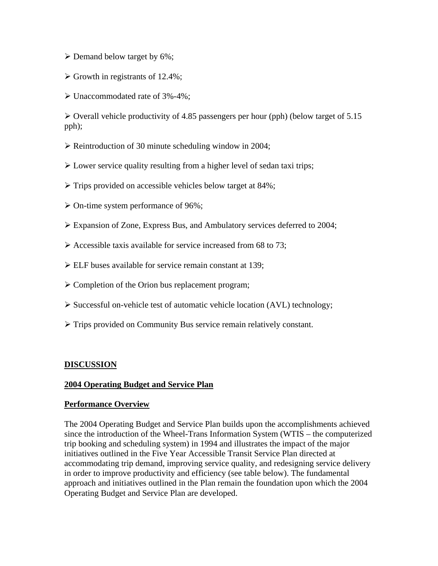- $\triangleright$  Demand below target by 6%;
- $\triangleright$  Growth in registrants of 12.4%;
- ¾ Unaccommodated rate of 3%-4%;

 $\triangleright$  Overall vehicle productivity of 4.85 passengers per hour (pph) (below target of 5.15 pph);

- $\triangleright$  Reintroduction of 30 minute scheduling window in 2004;
- $\triangleright$  Lower service quality resulting from a higher level of sedan taxi trips;
- $\triangleright$  Trips provided on accessible vehicles below target at 84%;
- $\triangleright$  On-time system performance of 96%;
- ¾ Expansion of Zone, Express Bus, and Ambulatory services deferred to 2004;
- $\triangleright$  Accessible taxis available for service increased from 68 to 73;
- $\triangleright$  ELF buses available for service remain constant at 139;
- $\triangleright$  Completion of the Orion bus replacement program;
- $\triangleright$  Successful on-vehicle test of automatic vehicle location (AVL) technology;
- ¾ Trips provided on Community Bus service remain relatively constant.

#### **DISCUSSION**

#### **2004 Operating Budget and Service Plan**

#### **Performance Overview**

The 2004 Operating Budget and Service Plan builds upon the accomplishments achieved since the introduction of the Wheel-Trans Information System (WTIS – the computerized trip booking and scheduling system) in 1994 and illustrates the impact of the major initiatives outlined in the Five Year Accessible Transit Service Plan directed at accommodating trip demand, improving service quality, and redesigning service delivery in order to improve productivity and efficiency (see table below). The fundamental approach and initiatives outlined in the Plan remain the foundation upon which the 2004 Operating Budget and Service Plan are developed.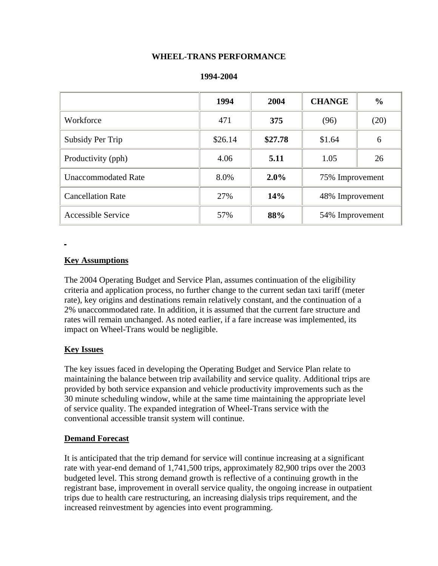### **WHEEL-TRANS PERFORMANCE**

|                            | 1994    | 2004    | <b>CHANGE</b>   | $\frac{0}{0}$ |
|----------------------------|---------|---------|-----------------|---------------|
| Workforce                  | 471     | 375     | (96)            | (20)          |
| Subsidy Per Trip           | \$26.14 | \$27.78 | \$1.64          | 6             |
| Productivity (pph)         | 4.06    | 5.11    | 1.05            | 26            |
| <b>Unaccommodated Rate</b> | 8.0%    | 2.0%    | 75% Improvement |               |
| <b>Cancellation Rate</b>   | 27%     | 14%     | 48% Improvement |               |
| <b>Accessible Service</b>  | 57%     | 88%     | 54% Improvement |               |

#### **Key Assumptions**

The 2004 Operating Budget and Service Plan, assumes continuation of the eligibility criteria and application process, no further change to the current sedan taxi tariff (meter rate), key origins and destinations remain relatively constant, and the continuation of a 2% unaccommodated rate. In addition, it is assumed that the current fare structure and rates will remain unchanged. As noted earlier, if a fare increase was implemented, its impact on Wheel-Trans would be negligible.

## **Key Issues**

The key issues faced in developing the Operating Budget and Service Plan relate to maintaining the balance between trip availability and service quality. Additional trips are provided by both service expansion and vehicle productivity improvements such as the 30 minute scheduling window, while at the same time maintaining the appropriate level of service quality. The expanded integration of Wheel-Trans service with the conventional accessible transit system will continue.

#### **Demand Forecast**

It is anticipated that the trip demand for service will continue increasing at a significant rate with year-end demand of 1,741,500 trips, approximately 82,900 trips over the 2003 budgeted level. This strong demand growth is reflective of a continuing growth in the registrant base, improvement in overall service quality, the ongoing increase in outpatient trips due to health care restructuring, an increasing dialysis trips requirement, and the increased reinvestment by agencies into event programming.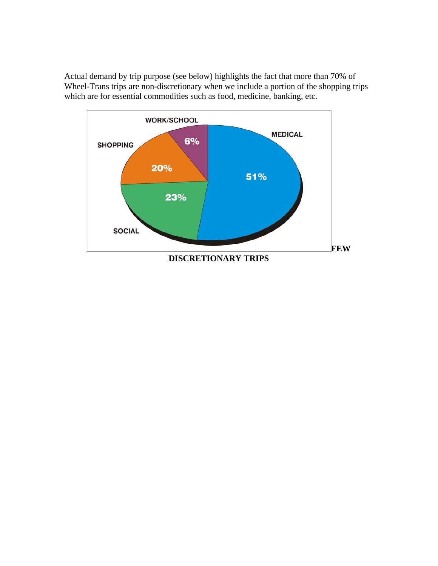Actual demand by trip purpose (see below) highlights the fact that more than 70% of Wheel-Trans trips are non-discretionary when we include a portion of the shopping trips which are for essential commodities such as food, medicine, banking, etc.

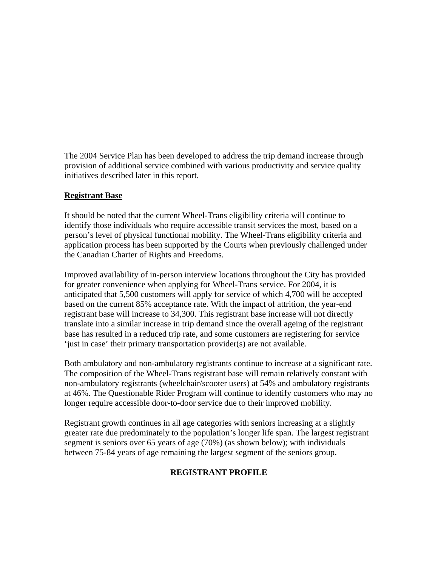The 2004 Service Plan has been developed to address the trip demand increase through provision of additional service combined with various productivity and service quality initiatives described later in this report.

#### **Registrant Base**

It should be noted that the current Wheel-Trans eligibility criteria will continue to identify those individuals who require accessible transit services the most, based on a person's level of physical functional mobility. The Wheel-Trans eligibility criteria and application process has been supported by the Courts when previously challenged under the Canadian Charter of Rights and Freedoms.

Improved availability of in-person interview locations throughout the City has provided for greater convenience when applying for Wheel-Trans service. For 2004, it is anticipated that 5,500 customers will apply for service of which 4,700 will be accepted based on the current 85% acceptance rate. With the impact of attrition, the year-end registrant base will increase to 34,300. This registrant base increase will not directly translate into a similar increase in trip demand since the overall ageing of the registrant base has resulted in a reduced trip rate, and some customers are registering for service 'just in case' their primary transportation provider(s) are not available.

Both ambulatory and non-ambulatory registrants continue to increase at a significant rate. The composition of the Wheel-Trans registrant base will remain relatively constant with non-ambulatory registrants (wheelchair/scooter users) at 54% and ambulatory registrants at 46%. The Questionable Rider Program will continue to identify customers who may no longer require accessible door-to-door service due to their improved mobility.

Registrant growth continues in all age categories with seniors increasing at a slightly greater rate due predominately to the population's longer life span. The largest registrant segment is seniors over 65 years of age (70%) (as shown below); with individuals between 75-84 years of age remaining the largest segment of the seniors group.

## **REGISTRANT PROFILE**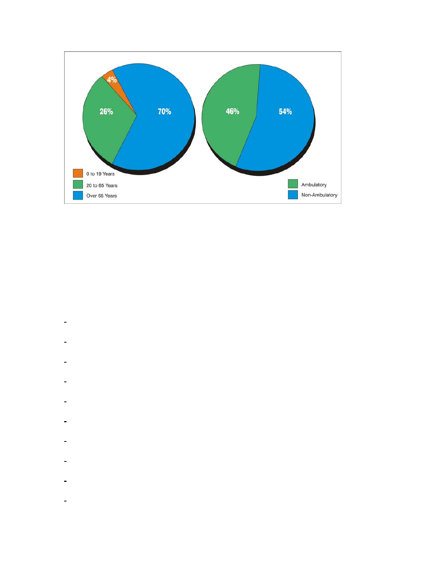

- $\blacksquare$
- ÷
- ÷  $\blacksquare$
- ÷
- $\blacksquare$
- .  $\blacksquare$
- ÷,
- $\frac{1}{2}$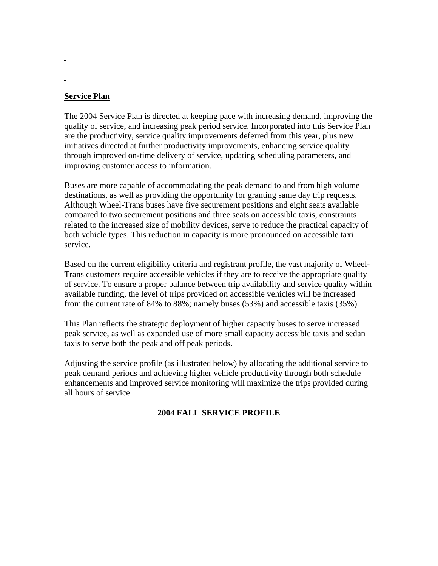## **Service Plan**

The 2004 Service Plan is directed at keeping pace with increasing demand, improving the quality of service, and increasing peak period service. Incorporated into this Service Plan are the productivity, service quality improvements deferred from this year, plus new initiatives directed at further productivity improvements, enhancing service quality through improved on-time delivery of service, updating scheduling parameters, and improving customer access to information.

Buses are more capable of accommodating the peak demand to and from high volume destinations, as well as providing the opportunity for granting same day trip requests. Although Wheel-Trans buses have five securement positions and eight seats available compared to two securement positions and three seats on accessible taxis, constraints related to the increased size of mobility devices, serve to reduce the practical capacity of both vehicle types. This reduction in capacity is more pronounced on accessible taxi service.

Based on the current eligibility criteria and registrant profile, the vast majority of Wheel-Trans customers require accessible vehicles if they are to receive the appropriate quality of service. To ensure a proper balance between trip availability and service quality within available funding, the level of trips provided on accessible vehicles will be increased from the current rate of 84% to 88%; namely buses (53%) and accessible taxis (35%).

This Plan reflects the strategic deployment of higher capacity buses to serve increased peak service, as well as expanded use of more small capacity accessible taxis and sedan taxis to serve both the peak and off peak periods.

Adjusting the service profile (as illustrated below) by allocating the additional service to peak demand periods and achieving higher vehicle productivity through both schedule enhancements and improved service monitoring will maximize the trips provided during all hours of service.

## **2004 FALL SERVICE PROFILE**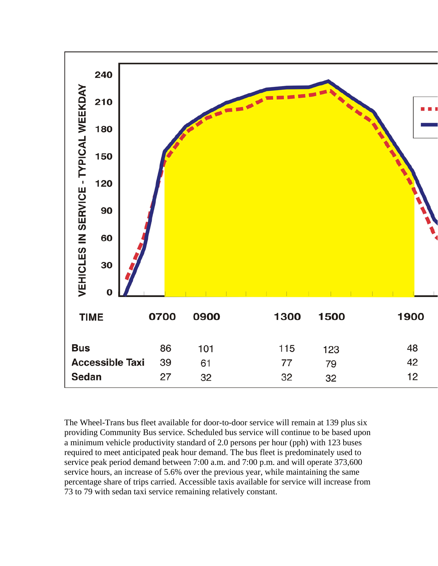

The Wheel-Trans bus fleet available for door-to-door service will remain at 139 plus six providing Community Bus service. Scheduled bus service will continue to be based upon a minimum vehicle productivity standard of 2.0 persons per hour (pph) with 123 buses required to meet anticipated peak hour demand. The bus fleet is predominately used to service peak period demand between 7:00 a.m. and 7:00 p.m. and will operate 373,600 service hours, an increase of 5.6% over the previous year, while maintaining the same percentage share of trips carried. Accessible taxis available for service will increase from 73 to 79 with sedan taxi service remaining relatively constant.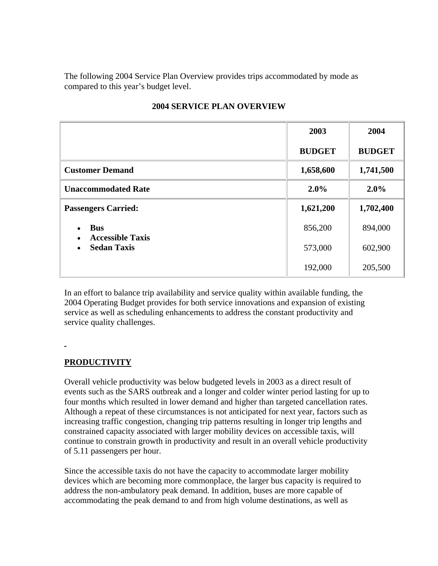The following 2004 Service Plan Overview provides trips accommodated by mode as compared to this year's budget level.

|                                                            | 2003          | 2004          |
|------------------------------------------------------------|---------------|---------------|
|                                                            | <b>BUDGET</b> | <b>BUDGET</b> |
| <b>Customer Demand</b>                                     | 1,658,600     | 1,741,500     |
| <b>Unaccommodated Rate</b>                                 | 2.0%          | $2.0\%$       |
| <b>Passengers Carried:</b>                                 | 1,621,200     | 1,702,400     |
| <b>Bus</b>                                                 | 856,200       | 894,000       |
| <b>Accessible Taxis</b><br>$\bullet$<br><b>Sedan Taxis</b> | 573,000       | 602,900       |
|                                                            | 192,000       | 205,500       |

# **2004 SERVICE PLAN OVERVIEW**

In an effort to balance trip availability and service quality within available funding, the 2004 Operating Budget provides for both service innovations and expansion of existing service as well as scheduling enhancements to address the constant productivity and service quality challenges.

# **PRODUCTIVITY**

Overall vehicle productivity was below budgeted levels in 2003 as a direct result of events such as the SARS outbreak and a longer and colder winter period lasting for up to four months which resulted in lower demand and higher than targeted cancellation rates. Although a repeat of these circumstances is not anticipated for next year, factors such as increasing traffic congestion, changing trip patterns resulting in longer trip lengths and constrained capacity associated with larger mobility devices on accessible taxis, will continue to constrain growth in productivity and result in an overall vehicle productivity of 5.11 passengers per hour.

Since the accessible taxis do not have the capacity to accommodate larger mobility devices which are becoming more commonplace, the larger bus capacity is required to address the non-ambulatory peak demand. In addition, buses are more capable of accommodating the peak demand to and from high volume destinations, as well as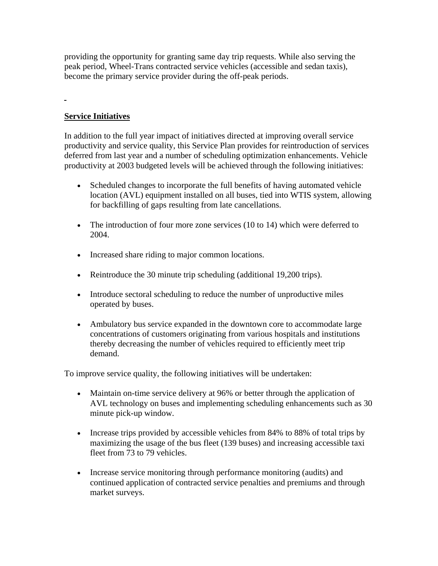providing the opportunity for granting same day trip requests. While also serving the peak period, Wheel-Trans contracted service vehicles (accessible and sedan taxis), become the primary service provider during the off-peak periods.

# **Service Initiatives**

ä,

In addition to the full year impact of initiatives directed at improving overall service productivity and service quality, this Service Plan provides for reintroduction of services deferred from last year and a number of scheduling optimization enhancements. Vehicle productivity at 2003 budgeted levels will be achieved through the following initiatives:

- Scheduled changes to incorporate the full benefits of having automated vehicle location (AVL) equipment installed on all buses, tied into WTIS system, allowing for backfilling of gaps resulting from late cancellations.
- The introduction of four more zone services (10 to 14) which were deferred to 2004.
- Increased share riding to major common locations.
- Reintroduce the 30 minute trip scheduling (additional 19,200 trips).
- Introduce sectoral scheduling to reduce the number of unproductive miles operated by buses.
- Ambulatory bus service expanded in the downtown core to accommodate large concentrations of customers originating from various hospitals and institutions thereby decreasing the number of vehicles required to efficiently meet trip demand.

To improve service quality, the following initiatives will be undertaken:

- Maintain on-time service delivery at 96% or better through the application of AVL technology on buses and implementing scheduling enhancements such as 30 minute pick-up window.
- Increase trips provided by accessible vehicles from 84% to 88% of total trips by maximizing the usage of the bus fleet (139 buses) and increasing accessible taxi fleet from 73 to 79 vehicles.
- Increase service monitoring through performance monitoring (audits) and continued application of contracted service penalties and premiums and through market surveys.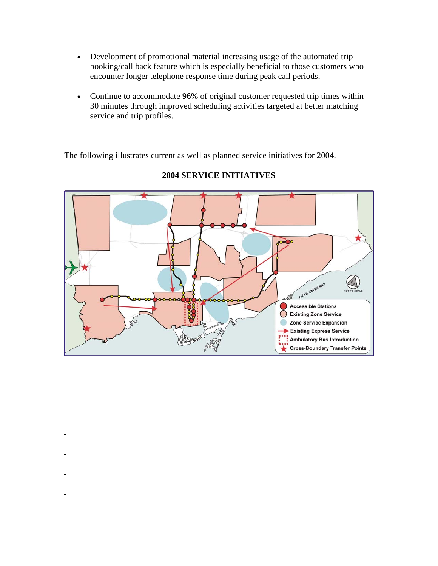- Development of promotional material increasing usage of the automated trip booking/call back feature which is especially beneficial to those customers who encounter longer telephone response time during peak call periods.
- Continue to accommodate 96% of original customer requested trip times within 30 minutes through improved scheduling activities targeted at better matching service and trip profiles.

The following illustrates current as well as planned service initiatives for 2004.



# **2004 SERVICE INITIATIVES**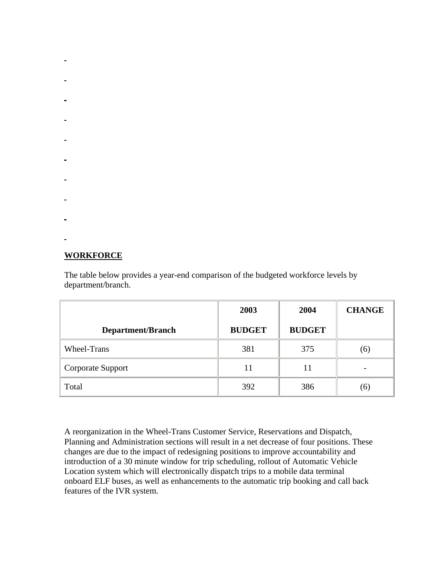- 
- 
- 
- 
- 
- 
- 
- 
- 
- 
- 

# **WORKFORCE**

The table below provides a year-end comparison of the budgeted workforce levels by department/branch.

|                          | 2003          | 2004          | <b>CHANGE</b> |
|--------------------------|---------------|---------------|---------------|
| <b>Department/Branch</b> | <b>BUDGET</b> | <b>BUDGET</b> |               |
| Wheel-Trans              | 381           | 375           | (6)           |
| Corporate Support        | 11            |               |               |
| Total                    | 392           | 386           | (6)           |

A reorganization in the Wheel-Trans Customer Service, Reservations and Dispatch, Planning and Administration sections will result in a net decrease of four positions. These changes are due to the impact of redesigning positions to improve accountability and introduction of a 30 minute window for trip scheduling, rollout of Automatic Vehicle Location system which will electronically dispatch trips to a mobile data terminal onboard ELF buses, as well as enhancements to the automatic trip booking and call back features of the IVR system.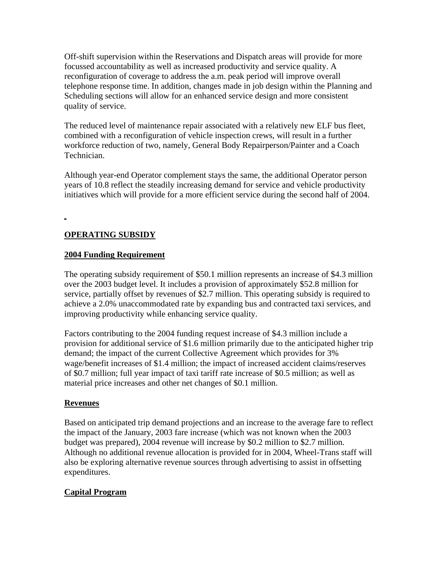Off-shift supervision within the Reservations and Dispatch areas will provide for more focussed accountability as well as increased productivity and service quality. A reconfiguration of coverage to address the a.m. peak period will improve overall telephone response time. In addition, changes made in job design within the Planning and Scheduling sections will allow for an enhanced service design and more consistent quality of service.

The reduced level of maintenance repair associated with a relatively new ELF bus fleet, combined with a reconfiguration of vehicle inspection crews, will result in a further workforce reduction of two, namely, General Body Repairperson/Painter and a Coach Technician.

Although year-end Operator complement stays the same, the additional Operator person years of 10.8 reflect the steadily increasing demand for service and vehicle productivity initiatives which will provide for a more efficient service during the second half of 2004.

# **OPERATING SUBSIDY**

## **2004 Funding Requirement**

The operating subsidy requirement of \$50.1 million represents an increase of \$4.3 million over the 2003 budget level. It includes a provision of approximately \$52.8 million for service, partially offset by revenues of \$2.7 million. This operating subsidy is required to achieve a 2.0% unaccommodated rate by expanding bus and contracted taxi services, and improving productivity while enhancing service quality.

Factors contributing to the 2004 funding request increase of \$4.3 million include a provision for additional service of \$1.6 million primarily due to the anticipated higher trip demand; the impact of the current Collective Agreement which provides for 3% wage/benefit increases of \$1.4 million; the impact of increased accident claims/reserves of \$0.7 million; full year impact of taxi tariff rate increase of \$0.5 million; as well as material price increases and other net changes of \$0.1 million.

#### **Revenues**

Based on anticipated trip demand projections and an increase to the average fare to reflect the impact of the January, 2003 fare increase (which was not known when the 2003 budget was prepared), 2004 revenue will increase by \$0.2 million to \$2.7 million. Although no additional revenue allocation is provided for in 2004, Wheel-Trans staff will also be exploring alternative revenue sources through advertising to assist in offsetting expenditures.

# **Capital Program**